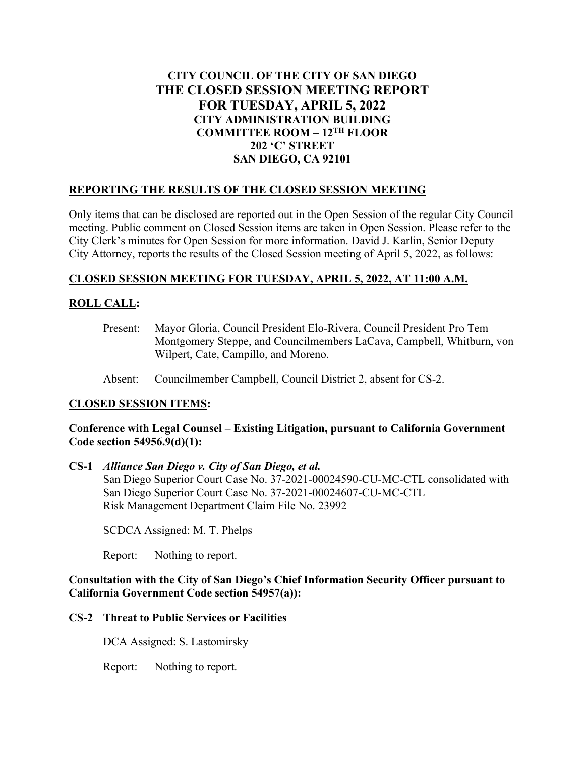# **CITY COUNCIL OF THE CITY OF SAN DIEGO THE CLOSED SESSION MEETING REPORT FOR TUESDAY, APRIL 5, 2022 CITY ADMINISTRATION BUILDING COMMITTEE ROOM – 12TH FLOOR 202 'C' STREET SAN DIEGO, CA 92101**

### **REPORTING THE RESULTS OF THE CLOSED SESSION MEETING**

Only items that can be disclosed are reported out in the Open Session of the regular City Council meeting. Public comment on Closed Session items are taken in Open Session. Please refer to the City Clerk's minutes for Open Session for more information. David J. Karlin, Senior Deputy City Attorney, reports the results of the Closed Session meeting of April 5, 2022, as follows:

## **CLOSED SESSION MEETING FOR TUESDAY, APRIL 5, 2022, AT 11:00 A.M.**

## **ROLL CALL:**

- Present: Mayor Gloria, Council President Elo-Rivera, Council President Pro Tem Montgomery Steppe, and Councilmembers LaCava, Campbell, Whitburn, von Wilpert, Cate, Campillo, and Moreno.
- Absent: Councilmember Campbell, Council District 2, absent for CS-2.

### **CLOSED SESSION ITEMS:**

### **Conference with Legal Counsel – Existing Litigation, pursuant to California Government Code section 54956.9(d)(1):**

#### **CS-1** *Alliance San Diego v. City of San Diego, et al.*

San Diego Superior Court Case No. 37-2021-00024590-CU-MC-CTL consolidated with San Diego Superior Court Case No. 37-2021-00024607-CU-MC-CTL Risk Management Department Claim File No. 23992

SCDCA Assigned: M. T. Phelps

Report: Nothing to report.

### **Consultation with the City of San Diego's Chief Information Security Officer pursuant to California Government Code section 54957(a)):**

### **CS-2 Threat to Public Services or Facilities**

DCA Assigned: S. Lastomirsky

Report: Nothing to report.